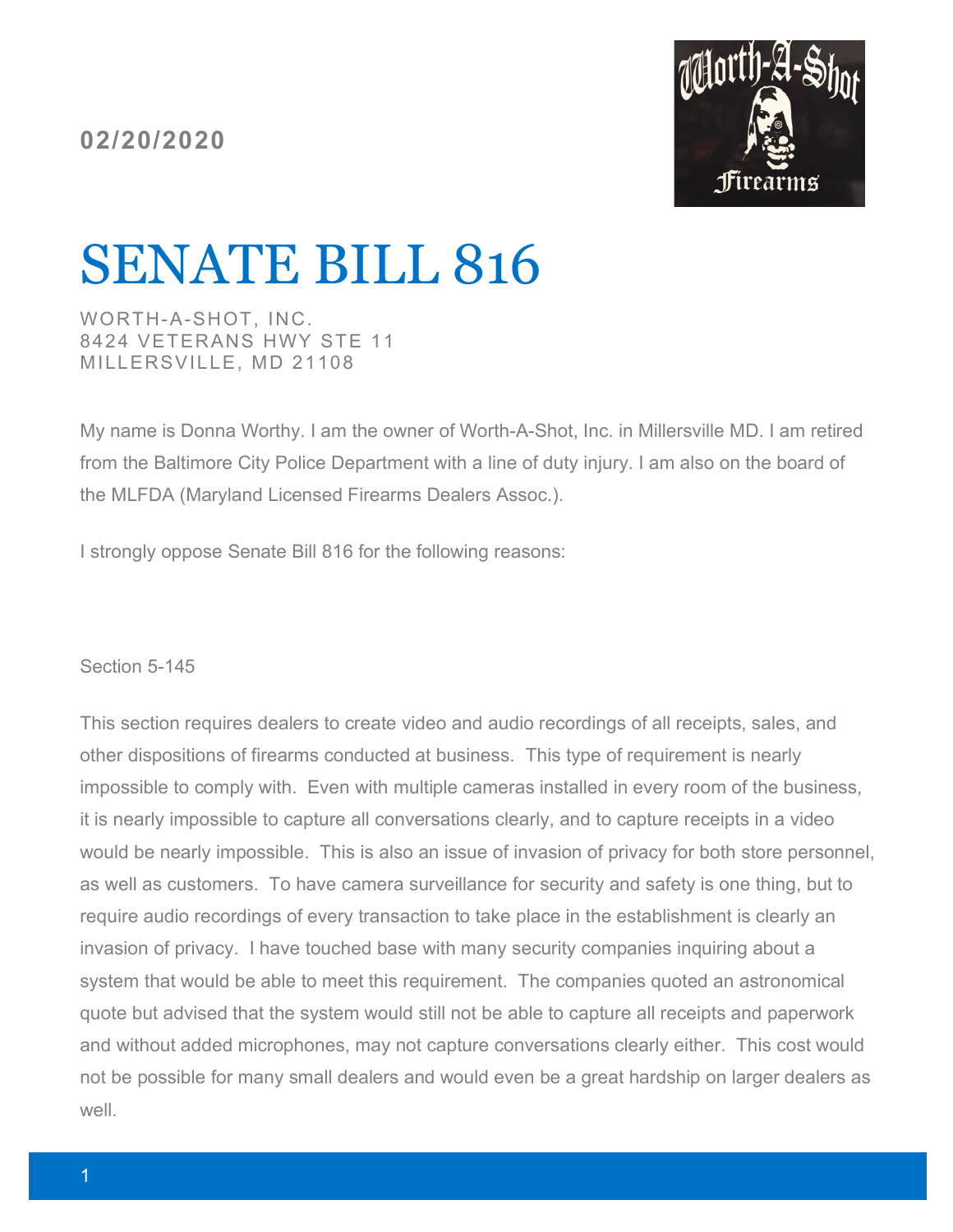**02/20/2020**



## SENATE BILL 816

WORTH-A-SHOT, INC. 8424 VETERANS HWY STE 11 MILLERSVILLE, MD 21108

My name is Donna Worthy. I am the owner of Worth-A-Shot, Inc. in Millersville MD. I am retired from the Baltimore City Police Department with a line of duty injury. I am also on the board of the MLFDA (Maryland Licensed Firearms Dealers Assoc.).

I strongly oppose Senate Bill 816 for the following reasons:

Section 5-145

This section requires dealers to create video and audio recordings of all receipts, sales, and other dispositions of firearms conducted at business. This type of requirement is nearly impossible to comply with. Even with multiple cameras installed in every room of the business, it is nearly impossible to capture all conversations clearly, and to capture receipts in a video would be nearly impossible. This is also an issue of invasion of privacy for both store personnel, as well as customers. To have camera surveillance for security and safety is one thing, but to require audio recordings of every transaction to take place in the establishment is clearly an invasion of privacy. I have touched base with many security companies inquiring about a system that would be able to meet this requirement. The companies quoted an astronomical quote but advised that the system would still not be able to capture all receipts and paperwork and without added microphones, may not capture conversations clearly either. This cost would not be possible for many small dealers and would even be a great hardship on larger dealers as well.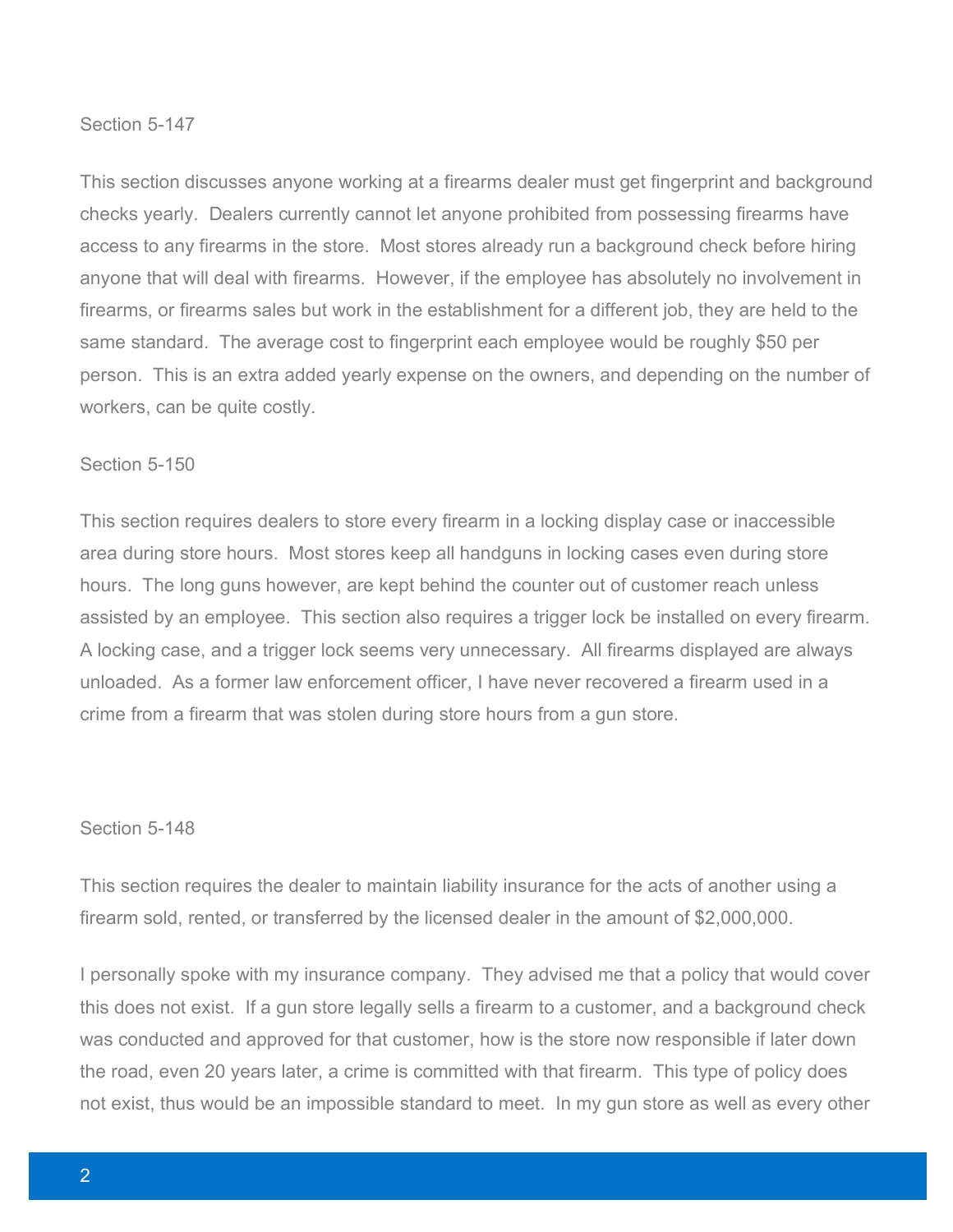## Section 5-147

This section discusses anyone working at a firearms dealer must get fingerprint and background checks yearly. Dealers currently cannot let anyone prohibited from possessing firearms have access to any firearms in the store. Most stores already run a background check before hiring anyone that will deal with firearms. However, if the employee has absolutely no involvement in firearms, or firearms sales but work in the establishment for a different job, they are held to the same standard. The average cost to fingerprint each employee would be roughly \$50 per person. This is an extra added yearly expense on the owners, and depending on the number of workers, can be quite costly.

## Section 5-150

This section requires dealers to store every firearm in a locking display case or inaccessible area during store hours. Most stores keep all handguns in locking cases even during store hours. The long guns however, are kept behind the counter out of customer reach unless assisted by an employee. This section also requires a trigger lock be installed on every firearm. A locking case, and a trigger lock seems very unnecessary. All firearms displayed are always unloaded. As a former law enforcement officer, I have never recovered a firearm used in a crime from a firearm that was stolen during store hours from a gun store.

## Section 5-148

This section requires the dealer to maintain liability insurance for the acts of another using a firearm sold, rented, or transferred by the licensed dealer in the amount of \$2,000,000.

I personally spoke with my insurance company. They advised me that a policy that would cover this does not exist. If a gun store legally sells a firearm to a customer, and a background check was conducted and approved for that customer, how is the store now responsible if later down the road, even 20 years later, a crime is committed with that firearm. This type of policy does not exist, thus would be an impossible standard to meet. In my gun store as well as every other